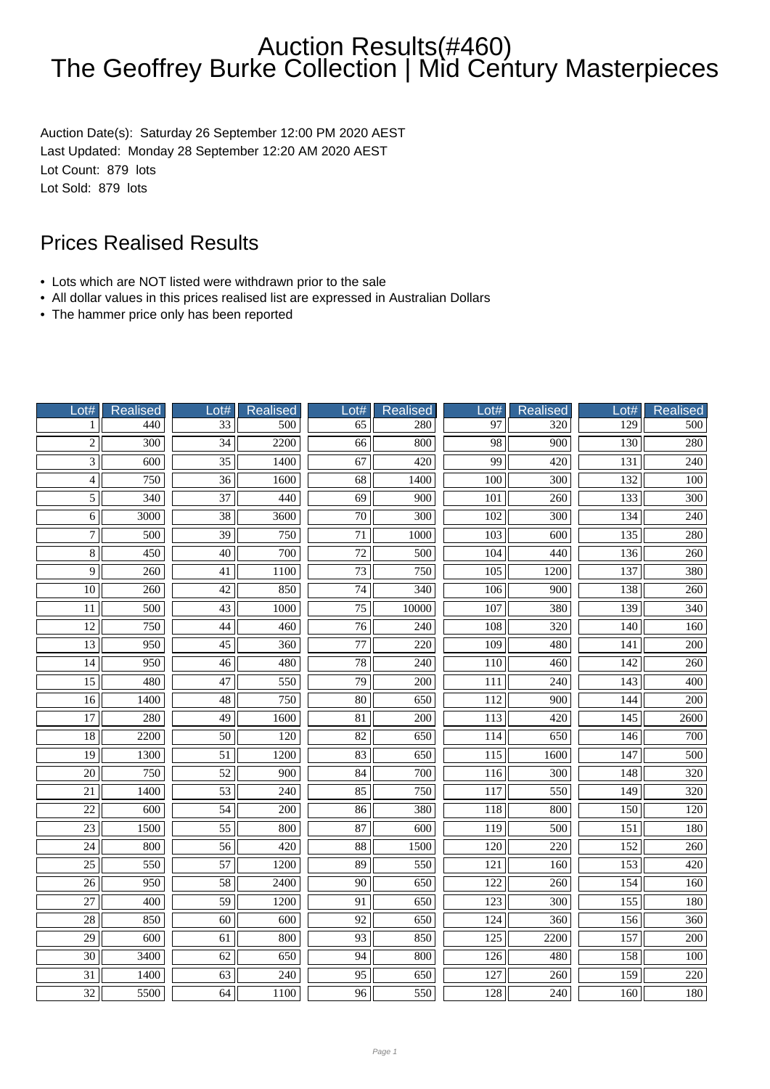Auction Date(s): Saturday 26 September 12:00 PM 2020 AEST Last Updated: Monday 28 September 12:20 AM 2020 AEST Lot Count: 879 lots Lot Sold: 879 lots

- Lots which are NOT listed were withdrawn prior to the sale
- All dollar values in this prices realised list are expressed in Australian Dollars
- The hammer price only has been reported

| Lot#            | Realised         | Lot#            | <b>Realised</b>  | Lot#                     | <b>Realised</b>  | Lot#             | <b>Realised</b>  | Lot#             | <b>Realised</b>  |
|-----------------|------------------|-----------------|------------------|--------------------------|------------------|------------------|------------------|------------------|------------------|
| 1               | 440              | 33              | 500              | 65                       | 280              | 97               | 320              | 129              | $\overline{500}$ |
| $\overline{2}$  | $\overline{300}$ | $\overline{34}$ | 2200             | $\overline{66}$          | 800              | $\overline{98}$  | $\overline{900}$ | 130              | 280              |
| $\overline{3}$  | 600              | $\overline{35}$ | 1400             | 67                       | 420              | 99               | 420              | 131              | 240              |
| $\overline{4}$  | 750              | $\overline{36}$ | 1600             | $\overline{68}$          | 1400             | 100              | 300              | 132              | 100              |
| $\overline{5}$  | 340              | $\overline{37}$ | 440              | 69                       | 900              | 101              | 260              | 133              | 300              |
| $\overline{6}$  | 3000             | $\overline{38}$ | 3600             | $\overline{70}$          | $\overline{300}$ | 102              | 300              | 134              | 240              |
| $\overline{7}$  | $\overline{500}$ | $\overline{39}$ | $\overline{750}$ | $\overline{71}$          | 1000             | $\overline{103}$ | $\overline{600}$ | 135              | 280              |
| $\overline{8}$  | 450              | $\overline{40}$ | 700              | $\overline{72}$          | 500              | 104              | 440              | 136              | 260              |
| $\overline{9}$  | 260              | 41              | 1100             | $\overline{73}$          | 750              | 105              | 1200             | 137              | 380              |
| $\overline{10}$ | 260              | 42              | 850              | 74                       | 340              | 106              | 900              | 138              | 260              |
| $\overline{11}$ | 500              | 43              | 1000             | 75                       | 10000            | 107              | 380              | 139              | 340              |
| $\overline{12}$ | $\overline{750}$ | 44              | 460              | $\overline{76}$          | $\overline{240}$ | 108              | $\overline{320}$ | $\overline{140}$ | 160              |
| $\overline{13}$ | 950              | $\overline{45}$ | 360              | $\overline{77}$          | $\overline{220}$ | $\overline{109}$ | 480              | 141              | $\overline{200}$ |
| 14              | 950              | 46              | 480              | 78                       | 240              | 110              | 460              | 142              | 260              |
| $\overline{15}$ | 480              | 47              | 550              | 79                       | 200              | 111              | 240              | $\overline{143}$ | 400              |
| $\overline{16}$ | 1400             | 48              | 750              | 80                       | 650              | 112              | 900              | 144              | 200              |
| $\overline{17}$ | 280              | $\overline{49}$ | 1600             | $\overline{81}$          | $\overline{200}$ | 113              | $\overline{420}$ | 145              | 2600             |
| $\overline{18}$ | 2200             | $\overline{50}$ | $\overline{120}$ | $\overline{82}$          | 650              | 114              | 650              | 146              | $\overline{700}$ |
| $\overline{19}$ | 1300             | $\overline{51}$ | 1200             | 83                       | 650              | $\overline{115}$ | 1600             | 147              | 500              |
| $\overline{20}$ | 750              | 52              | 900              | 84                       | 700              | 116              | 300              | 148              | 320              |
| 21              | 1400             | 53              | 240              | 85                       | 750              | 117              | 550              | 149              | 320              |
| $\overline{22}$ | $\overline{600}$ | $\overline{54}$ | $\overline{200}$ | 86                       | 380              | 118              | 800              | 150              | $\overline{120}$ |
| $\overline{23}$ | 1500             | $\overline{55}$ | 800              | 87                       | $\overline{600}$ | $\overline{119}$ | $\overline{500}$ | $\overline{151}$ | 180              |
| $\overline{24}$ | 800              | $\overline{56}$ | $\overline{420}$ | $\overline{\textbf{88}}$ | 1500             | 120              | $\overline{220}$ | 152              | $\overline{260}$ |
| $\overline{25}$ | 550              | 57              | 1200             | 89                       | 550              | 121              | 160              | 153              | 420              |
| $\overline{26}$ | 950              | $\overline{58}$ | 2400             | $\overline{90}$          | 650              | 122              | 260              | 154              | 160              |
| $\overline{27}$ | 400              | 59              | 1200             | 91                       | 650              | 123              | 300              | 155              | 180              |
| $\overline{28}$ | 850              | $\overline{60}$ | $\overline{600}$ | $\overline{92}$          | 650              | $\overline{124}$ | 360              | 156              | $\overline{360}$ |
| $\overline{29}$ | 600              | $\overline{61}$ | 800              | 93                       | 850              | $\overline{125}$ | 2200             | 157              | $\overline{200}$ |
| $\overline{30}$ | 3400             | 62              | 650              | $\overline{94}$          | 800              | 126              | 480              | 158              | 100              |
| $\overline{31}$ | 1400             | 63              | 240              | 95                       | 650              | 127              | 260              | 159              | 220              |
| 32              | 5500             | 64              | 1100             | 96                       | 550              | 128              | 240              | 160              | 180              |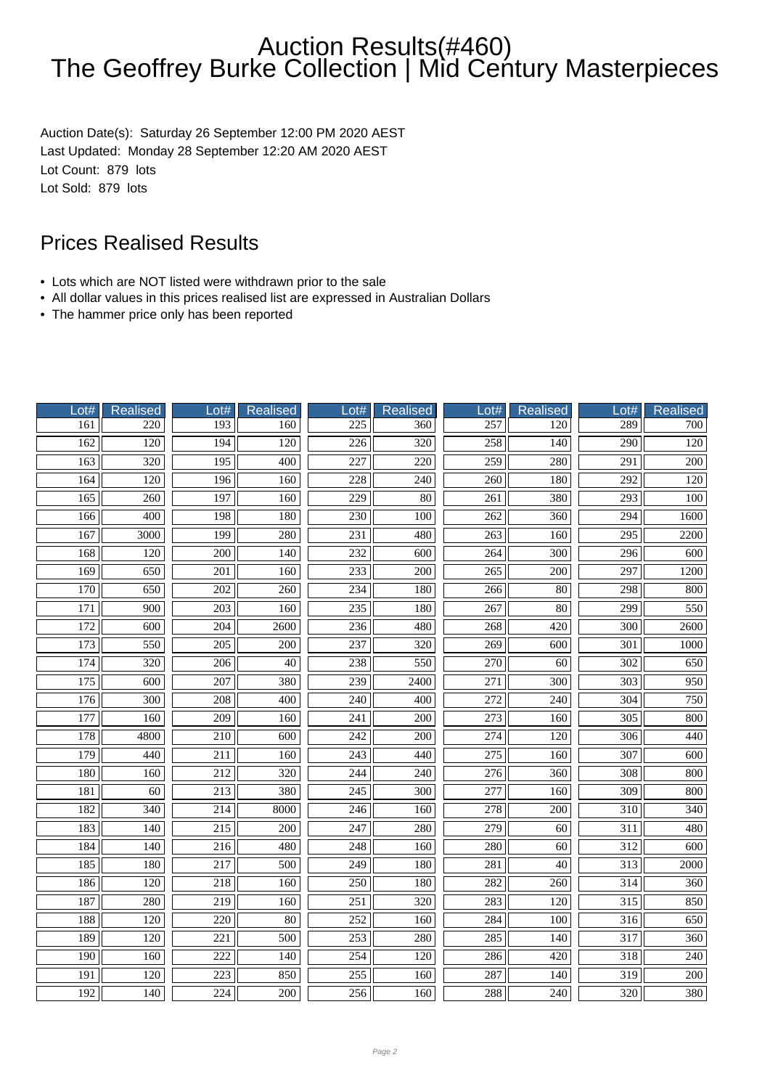Auction Date(s): Saturday 26 September 12:00 PM 2020 AEST Last Updated: Monday 28 September 12:20 AM 2020 AEST Lot Count: 879 lots Lot Sold: 879 lots

- Lots which are NOT listed were withdrawn prior to the sale
- All dollar values in this prices realised list are expressed in Australian Dollars
- The hammer price only has been reported

| Lot#             | <b>Realised</b>  | Lot#             | <b>Realised</b>  | Lot#             | <b>Realised</b>  | $_{\text{-}ott}$ | Realised         | Lot#             | Realised         |
|------------------|------------------|------------------|------------------|------------------|------------------|------------------|------------------|------------------|------------------|
| 161              | 220              | $\overline{193}$ | 160              | 225              | $\overline{360}$ | 257              | $\overline{120}$ | 289              | 700              |
| 162              | $\overline{120}$ | 194              | 120              | $\overline{226}$ | $\overline{320}$ | 258              | 140              | $\overline{290}$ | 120              |
| 163              | 320              | 195              | 400              | 227              | 220              | 259              | 280              | 291              | 200              |
| 164              | 120              | 196              | 160              | 228              | 240              | 260              | 180              | 292              | 120              |
| $\overline{165}$ | 260              | 197              | 160              | $\overline{229}$ | $\overline{80}$  | 261              | 380              | $\overline{293}$ | 100              |
| 166              | 400              | 198              | 180              | 230              | 100              | 262              | 360              | 294              | 1600             |
| 167              | 3000             | 199              | 280              | $\overline{231}$ | 480              | $\overline{263}$ | $\overline{160}$ | $\overline{295}$ | 2200             |
| 168              | $\overline{120}$ | 200              | $\overline{140}$ | 232              | 600              | 264              | $\overline{300}$ | 296              | $\overline{600}$ |
| 169              | 650              | $\overline{201}$ | 160              | 233              | $\overline{200}$ | $\overline{265}$ | 200              | 297              | 1200             |
| 170              | 650              | 202              | 260              | 234              | 180              | 266              | 80               | 298              | 800              |
| 171              | 900              | 203              | 160              | 235              | 180              | 267              | $80\,$           | 299              | 550              |
| $\overline{172}$ | $\overline{600}$ | $\overline{204}$ | 2600             | 236              | 480              | 268              | $\overline{420}$ | $\overline{300}$ | 2600             |
| 173              | 550              | $\overline{205}$ | 200              | 237              | 320              | 269              | 600              | $\overline{301}$ | 1000             |
| 174              | 320              | 206              | $\overline{40}$  | 238              | 550              | 270              | 60               | $\overline{302}$ | 650              |
| $\overline{175}$ | 600              | 207              | 380              | 239              | 2400             | $\overline{271}$ | 300              | $\overline{303}$ | 950              |
| 176              | 300              | 208              | 400              | 240              | 400              | 272              | 240              | 304              | 750              |
| 177              | 160              | $\overline{209}$ | 160              | $\overline{241}$ | $\overline{200}$ | $\overline{273}$ | 160              | $\overline{305}$ | 800              |
| 178              | 4800             | 210              | 600              | 242              | $\overline{200}$ | 274              | 120              | $\overline{306}$ | 440              |
| 179              | 440              | $\overline{211}$ | 160              | $\overline{243}$ | 440              | $\overline{275}$ | 160              | $\overline{307}$ | 600              |
| 180              | 160              | 212              | 320              | 244              | 240              | 276              | 360              | 308              | 800              |
| 181              | 60               | 213              | 380              | 245              | 300              | 277              | 160              | 309              | 800              |
| 182              | $\frac{340}{ }$  | $\overline{214}$ | 8000             | 246              | 160              | $\overline{278}$ | $\overline{200}$ | $\overline{310}$ | 340              |
| 183              | 140              | $\frac{215}{ }$  | 200              | 247              | $\frac{280}{ }$  | $\overline{279}$ | 60               | 311              | 480              |
| 184              | $\overline{140}$ | $\overline{216}$ | 480              | 248              | 160              | 280              | 60               | $\overline{312}$ | $\overline{600}$ |
| 185              | 180              | 217              | 500              | 249              | 180              | 281              | 40               | $\overline{313}$ | 2000             |
| 186              | 120              | 218              | 160              | 250              | 180              | 282              | 260              | 314              | 360              |
| 187              | 280              | 219              | 160              | $\overline{251}$ | 320              | 283              | 120              | $\overline{315}$ | 850              |
| 188              | 120              | 220              | 80               | $\overline{252}$ | 160              | 284              | 100              | $\overline{316}$ | 650              |
| 189              | $\overline{120}$ | $\overline{221}$ | $\overline{500}$ | $\overline{253}$ | 280              | $\overline{285}$ | $\overline{140}$ | $\overline{317}$ | 360              |
| 190              | 160              | 222              | 140              | 254              | 120              | 286              | 420              | 318              | 240              |
| 191              | 120              | 223              | 850              | 255              | 160              | 287              | 140              | 319              | $200\,$          |
| 192              | 140              | 224              | 200              | 256              | 160              | 288              | 240              | 320              | 380              |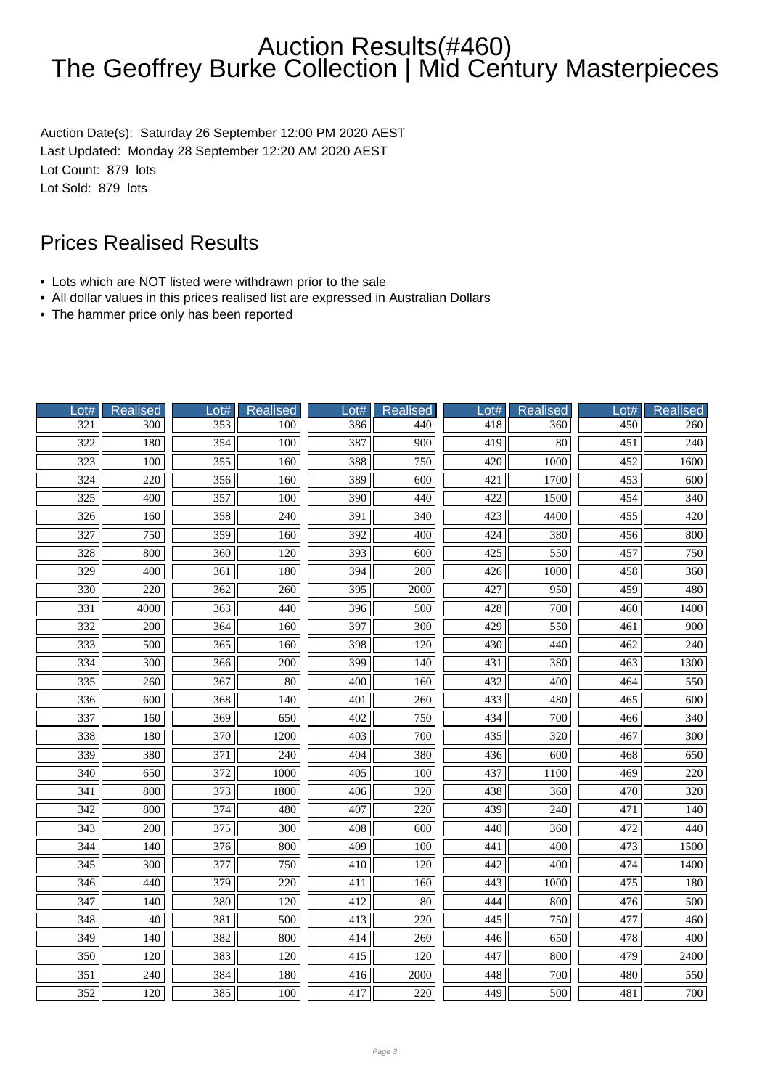Auction Date(s): Saturday 26 September 12:00 PM 2020 AEST Last Updated: Monday 28 September 12:20 AM 2020 AEST Lot Count: 879 lots Lot Sold: 879 lots

- Lots which are NOT listed were withdrawn prior to the sale
- All dollar values in this prices realised list are expressed in Australian Dollars
- The hammer price only has been reported

| ot#              | <b>Realised</b>  | Lot#             | <b>Realised</b>  | ot#              | <b>Realised</b>  | $\overline{\text{.}}\text{.}$ | Realised         | Lot#             | <b>Realised</b>  |
|------------------|------------------|------------------|------------------|------------------|------------------|-------------------------------|------------------|------------------|------------------|
| $\overline{321}$ | 300              | 353              | 100              | 386              | 440              | 418                           | 360              | $\overline{450}$ | 260              |
| $\overline{322}$ | 180              | 354              | $\overline{100}$ | 387              | 900              | 419                           | $\overline{80}$  | $\overline{451}$ | $\overline{240}$ |
| $\overline{323}$ | 100              | 355              | 160              | 388              | 750              | 420                           | 1000             | 452              | 1600             |
| 324              | 220              | 356              | 160              | 389              | 600              | 421                           | 1700             | 453              | 600              |
| 325              | 400              | 357              | 100              | 390              | 440              | 422                           | 1500             | 454              | 340              |
| 326              | 160              | 358              | 240              | 391              | 340              | 423                           | 4400             | $\overline{455}$ | 420              |
| 327              | 750              | 359              | 160              | 392              | 400              | 424                           | 380              | 456              | 800              |
| 328              | 800              | $\overline{360}$ | 120              | $\overline{393}$ | 600              | 425                           | 550              | 457              | 750              |
| $\overline{329}$ | 400              | 361              | 180              | 394              | 200              | 426                           | 1000             | 458              | 360              |
| 330              | 220              | 362              | 260              | 395              | 2000             | 427                           | 950              | 459              | 480              |
| 331              | 4000             | 363              | 440              | 396              | 500              | 428                           | 700              | 460              | 1400             |
| $\overline{332}$ | 200              | 364              | 160              | $\overline{397}$ | $\overline{300}$ | $\overline{429}$              | 550              | 461              | $\overline{900}$ |
| 333              | 500              | $\overline{365}$ | 160              | 398              | 120              | 430                           | 440              | 462              | $\overline{240}$ |
| 334              | $\overline{300}$ | 366              | $\overline{200}$ | 399              | 140              | 431                           | 380              | 463              | 1300             |
| $\overline{335}$ | 260              | 367              | 80               | 400              | 160              | 432                           | 400              | 464              | 550              |
| 336              | 600              | 368              | 140              | 401              | 260              | 433                           | 480              | 465              | 600              |
| $\overline{337}$ | 160              | $\overline{369}$ | 650              | 402              | 750              | 434                           | 700              | 466              | 340              |
| 338              | 180              | 370              | 1200             | 403              | 700              | 435                           | 320              | 467              | 300              |
| 339              | 380              | 371              | $\overline{240}$ | 404              | 380              | 436                           | $\overline{600}$ | 468              | 650              |
| 340              | 650              | 372              | 1000             | 405              | 100              | 437                           | 1100             | 469              | 220              |
| 341              | 800              | 373              | 1800             | 406              | 320              | 438                           | 360              | 470              | 320              |
| 342              | 800              | 374              | 480              | 407              | $\overline{220}$ | 439                           | 240              | 471              | 140              |
| $\overline{343}$ | $\overline{200}$ | $\overline{375}$ | $\overline{300}$ | 408              | $\overline{600}$ | 440                           | $\frac{360}{ }$  | 472              | 440              |
| $\overline{344}$ | 140              | $\overline{376}$ | 800              | 409              | 100              | 441                           | $\overline{400}$ | 473              | 1500             |
| 345              | 300              | 377              | 750              | 410              | 120              | 442                           | 400              | 474              | 1400             |
| 346              | 440              | 379              | 220              | 411              | 160              | 443                           | 1000             | 475              | 180              |
| 347              | 140              | 380              | 120              | 412              | 80               | 444                           | 800              | 476              | 500              |
| $\overline{348}$ | $\overline{40}$  | 381              | $\overline{500}$ | 413              | 220              | 445                           | 750              | 477              | $\overline{460}$ |
| 349              | 140              | 382              | 800              | 414              | 260              | 446                           | 650              | 478              | 400              |
| 350              | 120              | 383              | 120              | 415              | 120              | 447                           | 800              | 479              | 2400             |
| 351              | 240              | 384              | 180              | 416              | 2000             | 448                           | 700              | 480              | 550              |
| 352              | 120              | 385              | 100              | 417              | 220              | 449                           | 500              | 481              | 700              |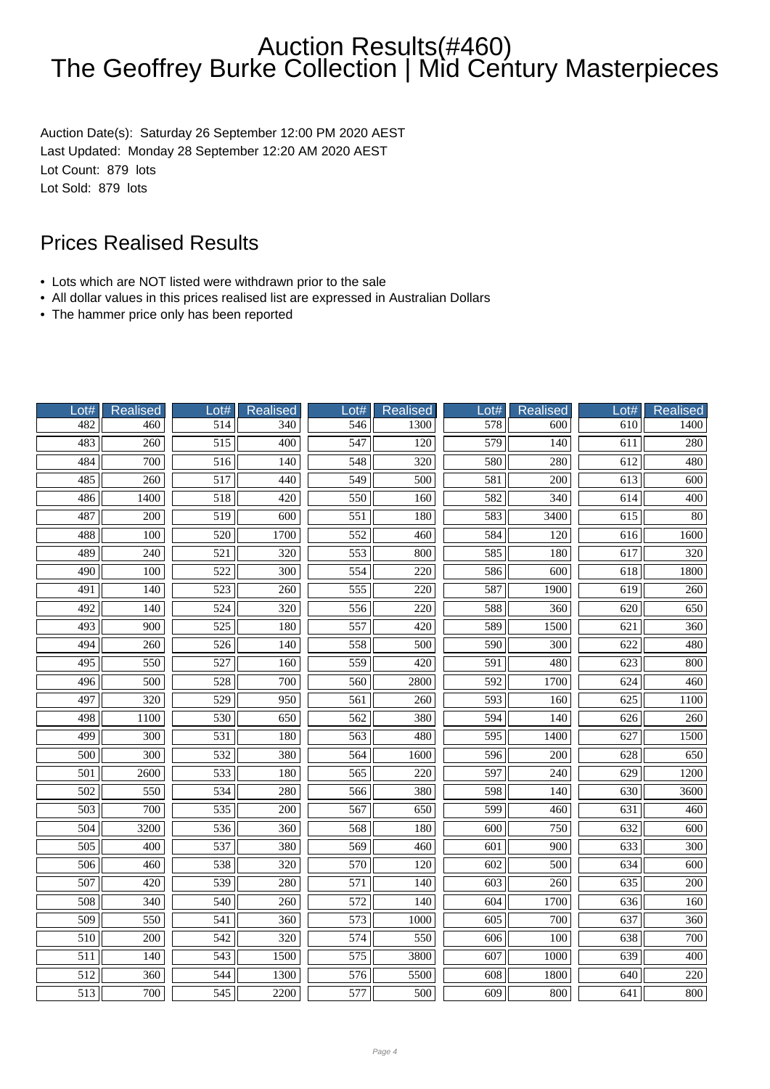Auction Date(s): Saturday 26 September 12:00 PM 2020 AEST Last Updated: Monday 28 September 12:20 AM 2020 AEST Lot Count: 879 lots Lot Sold: 879 lots

- Lots which are NOT listed were withdrawn prior to the sale
- All dollar values in this prices realised list are expressed in Australian Dollars
- The hammer price only has been reported

| Lot#             | <b>Realised</b>  | Lot#             | <b>Realised</b>  | Lot#             | <b>Realised</b>  | Lot#             | <b>Realised</b>  | Lot#             | <b>Realised</b>  |
|------------------|------------------|------------------|------------------|------------------|------------------|------------------|------------------|------------------|------------------|
| 482              | 460              | $\overline{514}$ | 340              | 546              | 1300             | 578              | 600              | $\overline{610}$ | 1400             |
| 483              | 260              | $\overline{515}$ | 400              | 547              | 120              | 579              | 140              | 611              | 280              |
| 484              | 700              | $\overline{516}$ | $\overline{140}$ | 548              | $\overline{320}$ | 580              | 280              | 612              | 480              |
| 485              | 260              | $\overline{517}$ | 440              | 549              | 500              | 581              | 200              | $\overline{613}$ | 600              |
| 486              | 1400             | 518              | 420              | 550              | 160              | 582              | 340              | 614              | 400              |
| 487              | 200              | $\overline{519}$ | 600              | $\overline{551}$ | 180              | 583              | 3400             | $\overline{615}$ | $\overline{80}$  |
| 488              | $\overline{100}$ | $\overline{520}$ | 1700             | 552              | 460              | 584              | 120              | 616              | 1600             |
| 489              | 240              | $\overline{521}$ | 320              | $\overline{553}$ | 800              | 585              | 180              | 617              | 320              |
| 490              | 100              | 522              | 300              | 554              | 220              | 586              | 600              | 618              | 1800             |
| 491              | 140              | 523              | 260              | 555              | 220              | 587              | 1900             | 619              | 260              |
| 492              | 140              | 524              | 320              | 556              | 220              | 588              | 360              | 620              | 650              |
| $\overline{493}$ | $\overline{900}$ | $\overline{525}$ | 180              | 557              | $\overline{420}$ | 589              | 1500             | $\overline{621}$ | $\overline{360}$ |
| 494              | 260              | 526              | 140              | 558              | 500              | 590              | 300              | 622              | 480              |
| 495              | 550              | 527              | 160              | 559              | 420              | 591              | 480              | 623              | 800              |
| 496              | 500              | 528              | 700              | 560              | 2800             | 592              | 1700             | 624              | 460              |
| 497              | 320              | 529              | 950              | 561              | 260              | 593              | 160              | 625              | 1100             |
| 498              | 1100             | 530              | 650              | 562              | 380              | 594              | 140              | 626              | 260              |
| 499              | $\overline{300}$ | $\overline{531}$ | 180              | $\overline{563}$ | 480              | 595              | 1400             | 627              | 1500             |
| $\overline{500}$ | 300              | 532              | 380              | 564              | 1600             | 596              | 200              | 628              | 650              |
| 501              | 2600             | 533              | 180              | 565              | 220              | 597              | 240              | 629              | 1200             |
| 502              | 550              | 534              | 280              | 566              | 380              | 598              | 140              | 630              | 3600             |
| $\overline{503}$ | 700              | $\overline{535}$ | $\overline{200}$ | 567              | 650              | 599              | $\overline{460}$ | 631              | 460              |
| 504              | 3200             | 536              | 360              | 568              | 180              | 600              | 750              | 632              | $\overline{600}$ |
| $\overline{505}$ | $\overline{400}$ | 537              | 380              | 569              | 460              | $\overline{601}$ | $\overline{900}$ | 633              | $\overline{300}$ |
| 506              | 460              | 538              | 320              | 570              | 120              | 602              | 500              | 634              | 600              |
| 507              | 420              | 539              | 280              | $\overline{571}$ | 140              | 603              | 260              | 635              | 200              |
| 508              | 340              | 540              | 260              | 572              | 140              | 604              | 1700             | 636              | 160              |
| $\overline{509}$ | 550              | 541              | 360              | 573              | 1000             | $\overline{605}$ | 700              | 637              | 360              |
| 510              | 200              | 542              | 320              | 574              | 550              | 606              | 100              | 638              | 700              |
| $\overline{511}$ | 140              | 543              | 1500             | 575              | 3800             | 607              | 1000             | 639              | 400              |
| 512              | 360              | 544              | 1300             | 576              | 5500             | 608              | 1800             | 640              | 220              |
| 513              | 700              | 545              | 2200             | 577              | 500              | 609              | 800              | 641              | 800              |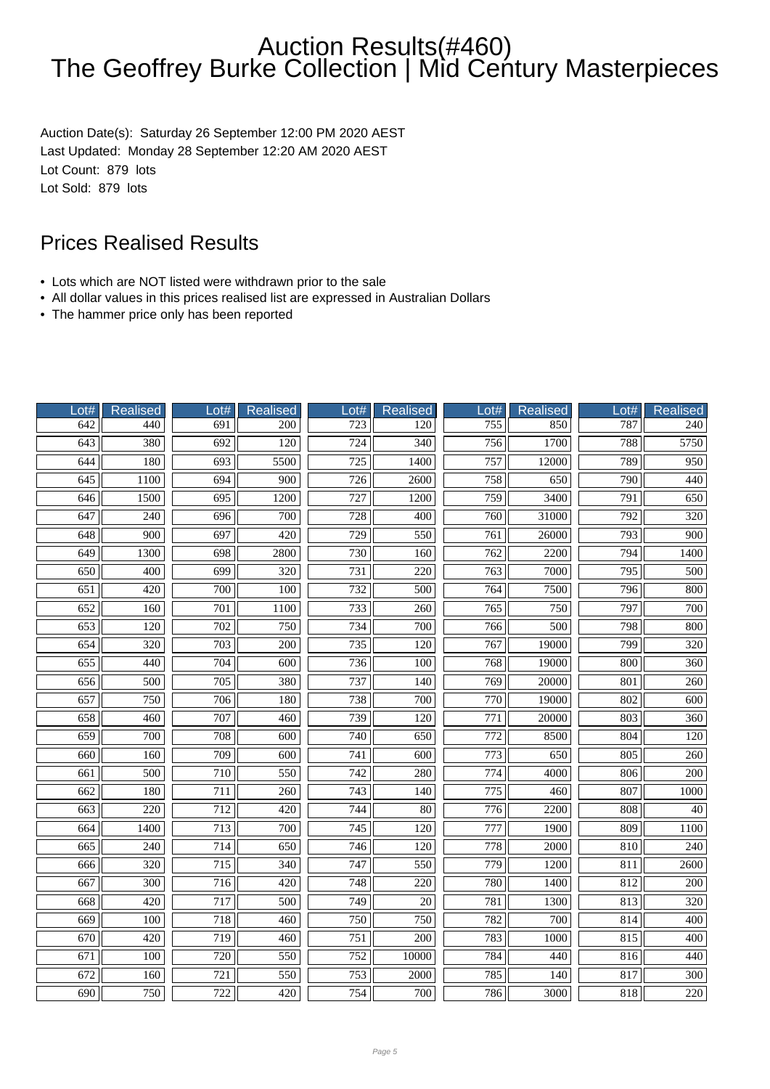Auction Date(s): Saturday 26 September 12:00 PM 2020 AEST Last Updated: Monday 28 September 12:20 AM 2020 AEST Lot Count: 879 lots Lot Sold: 879 lots

- Lots which are NOT listed were withdrawn prior to the sale
- All dollar values in this prices realised list are expressed in Australian Dollars
- The hammer price only has been reported

| Lot# | <b>Realised</b>  | Lot#             | <b>Realised</b>  | ot#              | <b>Realised</b>  | Lot#             | <b>Realised</b>  | Lot# | <b>Realised</b>  |
|------|------------------|------------------|------------------|------------------|------------------|------------------|------------------|------|------------------|
| 642  | 440              | 691              | 200              | 723              | 120              | 755              | 850              | 787  | 240              |
| 643  | 380              | 692              | $\overline{120}$ | 724              | $\overline{340}$ | 756              | 1700             | 788  | 5750             |
| 644  | 180              | 693              | 5500             | $\overline{725}$ | 1400             | 757              | 12000            | 789  | 950              |
| 645  | 1100             | 694              | 900              | $\overline{726}$ | 2600             | 758              | 650              | 790  | 440              |
| 646  | 1500             | 695              | 1200             | 727              | 1200             | 759              | 3400             | 791  | 650              |
| 647  | 240              | 696              | 700              | $\overline{728}$ | 400              | 760              | 31000            | 792  | $\overline{320}$ |
| 648  | 900              | 697              | 420              | 729              | 550              | 761              | 26000            | 793  | 900              |
| 649  | 1300             | 698              | 2800             | $\overline{730}$ | 160              | 762              | 2200             | 794  | 1400             |
| 650  | 400              | 699              | 320              | 731              | 220              | 763              | $\frac{1}{7000}$ | 795  | 500              |
| 651  | 420              | 700              | 100              | 732              | 500              | 764              | 7500             | 796  | 800              |
| 652  | 160              | 701              | 1100             | 733              | 260              | 765              | 750              | 797  | 700              |
| 653  | $\overline{120}$ | $\overline{702}$ | 750              | 734              | 700              | 766              | $\overline{500}$ | 798  | 800              |
| 654  | $\overline{320}$ | $\overline{703}$ | $\overline{200}$ | $\overline{735}$ | 120              | 767              | 19000            | 799  | $\overline{320}$ |
| 655  | 440              | 704              | 600              | 736              | 100              | 768              | 19000            | 800  | 360              |
| 656  | 500              | 705              | 380              | 737              | 140              | 769              | 20000            | 801  | 260              |
| 657  | 750              | 706              | 180              | 738              | 700              | 770              | 19000            | 802  | 600              |
| 658  | $\overline{460}$ | 707              | 460              | 739              | 120              | 771              | 20000            | 803  | $\overline{360}$ |
| 659  | 700              | 708              | 600              | 740              | 650              | 772              | 8500             | 804  | 120              |
| 660  | 160              | 709              | $\overline{600}$ | $\overline{741}$ | 600              | $\overline{773}$ | 650              | 805  | 260              |
| 661  | 500              | 710              | 550              | 742              | 280              | 774              | 4000             | 806  | 200              |
| 662  | 180              | 711              | 260              | 743              | 140              | 775              | 460              | 807  | 1000             |
| 663  | $\overline{220}$ | 712              | 420              | 744              | $\overline{80}$  | $\overline{776}$ | 2200             | 808  | $\overline{40}$  |
| 664  | 1400             | $\overline{713}$ | $\overline{700}$ | $\overline{745}$ | $\overline{120}$ | $\overline{777}$ | 1900             | 809  | 1100             |
| 665  | $\overline{240}$ | 714              | 650              | 746              | 120              | 778              | 2000             | 810  | $\overline{240}$ |
| 666  | 320              | 715              | 340              | 747              | 550              | 779              | 1200             | 811  | 2600             |
| 667  | 300              | 716              | 420              | 748              | 220              | 780              | 1400             | 812  | 200              |
| 668  | 420              | 717              | 500              | 749              | 20               | 781              | 1300             | 813  | 320              |
| 669  | 100              | 718              | 460              | $\overline{750}$ | 750              | 782              | 700              | 814  | 400              |
| 670  | 420              | 719              | 460              | 751              | 200              | 783              | 1000             | 815  | 400              |
| 671  | 100              | 720              | 550              | 752              | 10000            | 784              | 440              | 816  | 440              |
| 672  | 160              | 721              | 550              | 753              | 2000             | 785              | 140              | 817  | 300              |
| 690  | 750              | 722              | 420              | 754              | 700              | 786              | 3000             | 818  | 220              |